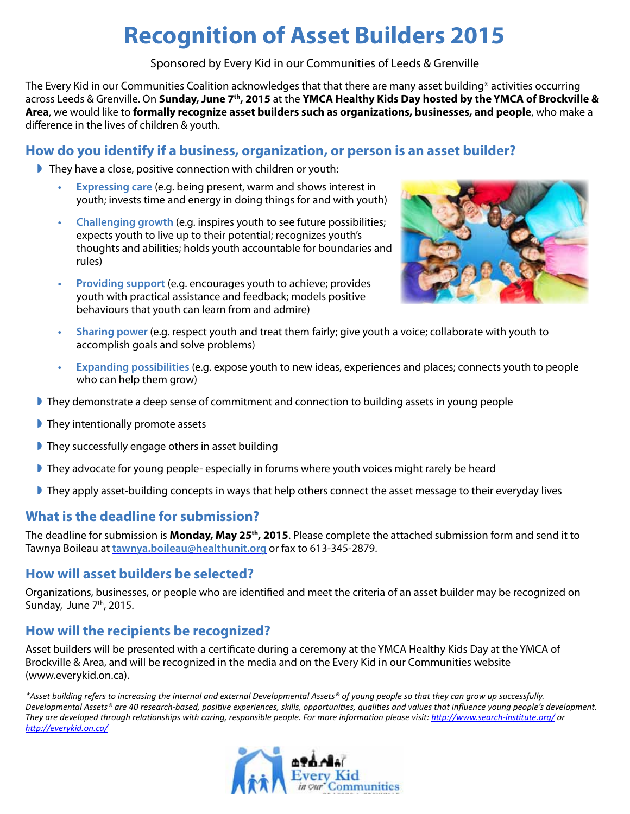# **Recognition of Asset Builders 2015**

Sponsored by Every Kid in our Communities of Leeds & Grenville

The Every Kid in our Communities Coalition acknowledges that that there are many asset building\* activities occurring across Leeds & Grenville. On **Sunday, June 7th, 2015** at the **YMCA Healthy Kids Day hosted by the YMCA of Brockville & Area**, we would like to **formally recognize asset builders such as organizations, businesses, and people**, who make a difference in the lives of children & youth.

## **How do you identify if a business, organization, or person is an asset builder?**

- They have a close, positive connection with children or youth:
	- **Expressing care** (e.g. being present, warm and shows interest in youth; invests time and energy in doing things for and with youth)
	- **Challenging growth** (e.g. inspires youth to see future possibilities; expects youth to live up to their potential; recognizes youth's thoughts and abilities; holds youth accountable for boundaries and rules)
	- **Providing support** (e.g. encourages youth to achieve; provides youth with practical assistance and feedback; models positive behaviours that youth can learn from and admire)



- **• Sharing power** (e.g. respect youth and treat them fairly; give youth a voice; collaborate with youth to accomplish goals and solve problems)
- **Expanding possibilities** (e.g. expose youth to new ideas, experiences and places; connects youth to people who can help them grow)
- They demonstrate a deep sense of commitment and connection to building assets in young people
- **They intentionally promote assets**
- **They successfully engage others in asset building**
- They advocate for young people- especially in forums where youth voices might rarely be heard
- They apply asset-building concepts in ways that help others connect the asset message to their everyday lives

## **What is the deadline for submission?**

The deadline for submission is **Monday, May 25th, 2015**. Please complete the attached submission form and send it to Tawnya Boileau at **tawnya.boileau@healthunit.org** or fax to 613-345-2879.

#### **How will asset builders be selected?**

Organizations, businesses, or people who are identified and meet the criteria of an asset builder may be recognized on Sunday, June 7<sup>th</sup>, 2015.

## **How will the recipients be recognized?**

Asset builders will be presented with a certificate during a ceremony at the YMCA Healthy Kids Day at the YMCA of Brockville & Area, and will be recognized in the media and on the Every Kid in our Communities website (www.everykid.on.ca).

*\*Asset building refers to increasing the internal and external Developmental Assets® of young people so that they can grow up successfully. Developmental Assets® are 40 research-based, positive experiences, skills, opportunities, qualities and values that influence young people's development. They are developed through relationships with caring, responsible people. For more information please visit: http://www.search-institute.org/ or http://everykid.on.ca/*